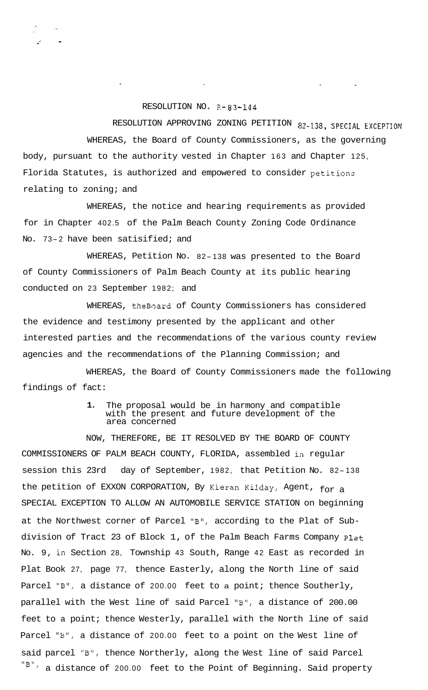## RESOLUTION NO. R- 83-144

RESOLUTION APPROVING ZONING PETITION 82-138, **SPECIAL EXCEPTION**  WHEREAS, the Board of County Commissioners, as the governing body, pursuant to the authority vested in Chapter 163 and Chapter 125, Florida Statutes, is authorized and empowered to consider petitions relating to zoning; and

WHEREAS, the notice and hearing requirements as provided for in Chapter 402.5 of the Palm Beach County Zoning Code Ordinance No. 73-2 have been satisified; and

WHEREAS, Petition No. 82-138 was presented to the Board of County Commissioners of Palm Beach County at its public hearing conducted on 23 September 1982; and

WHEREAS, theBoard of County Commissioners has considered the evidence and testimony presented by the applicant and other interested parties and the recommendations of the various county review agencies and the recommendations of the Planning Commission; and

WHEREAS, the Board of County Commissioners made the following findings of fact:

## **1.** The proposal would be in harmony and compatible with the present and future development of the area concerned

NOW, THEREFORE, BE IT RESOLVED BY THE BOARD OF COUNTY COMMISSIONERS OF PALM BEACH COUNTY, FLORIDA, assembled in regular session this 23rd day of September, 1982, that Petition No. 82- <sup>138</sup> the petition of EXXON CORPORATION, By Kieran Kilday, Agent, for a SPECIAL EXCEPTION TO ALLOW AN AUTOMOBILE SERVICE STATION on beginning at the Northwest corner of Parcel "B", according to the Plat of Subdivision of Tract 23 of Block 1, of the Palm Beach Farms Company Plat No. 9, in Section 28, Township 43 South, Range 42 East as recorded in Plat Book 27, page 77, thence Easterly, along the North line of said Parcel "B", a distance of 200.00 feet to a point; thence Southerly, parallel with the West line of said Parcel "B", a distance of 200.00 feet to a point; thence Westerly, parallel with the North line of said Parcel "B", a distance of 200.00 feet to a point on the West line of said parcel "B", thence Northerly, along the West line of said Parcel  $"B"$ , a distance of 200.00 feet to the Point of Beginning. Said property